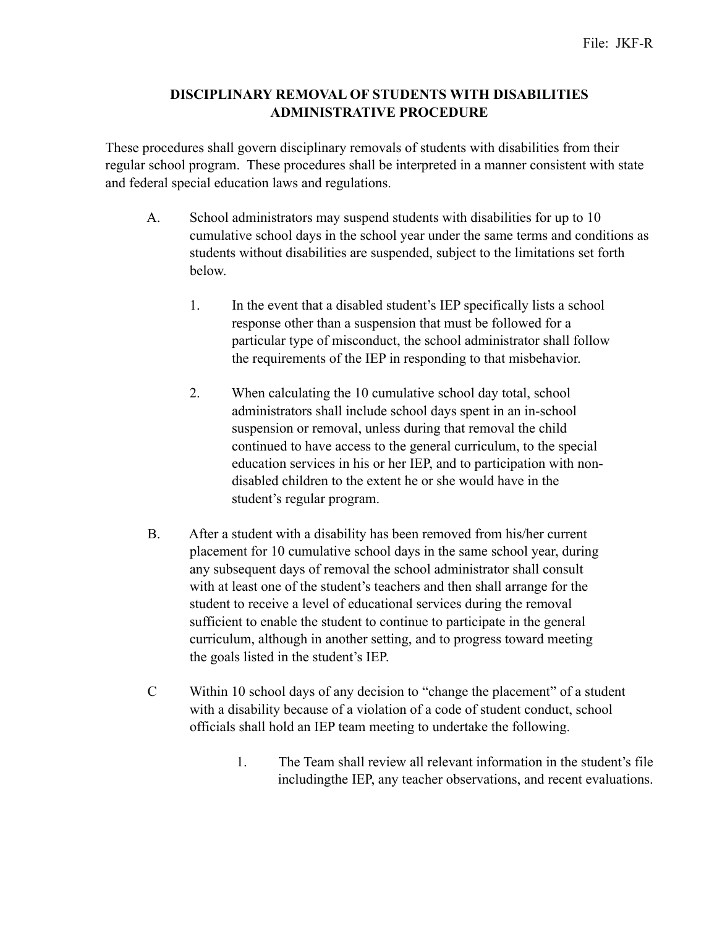## **DISCIPLINARY REMOVAL OF STUDENTS WITH DISABILITIES ADMINISTRATIVE PROCEDURE**

These procedures shall govern disciplinary removals of students with disabilities from their regular school program. These procedures shall be interpreted in a manner consistent with state and federal special education laws and regulations.

- A. School administrators may suspend students with disabilities for up to 10 cumulative school days in the school year under the same terms and conditions as students without disabilities are suspended, subject to the limitations set forth below.
	- 1. In the event that a disabled student's IEP specifically lists a school response other than a suspension that must be followed for a particular type of misconduct, the school administrator shall follow the requirements of the IEP in responding to that misbehavior.
	- 2. When calculating the 10 cumulative school day total, school administrators shall include school days spent in an in-school suspension or removal, unless during that removal the child continued to have access to the general curriculum, to the special education services in his or her IEP, and to participation with nondisabled children to the extent he or she would have in the student's regular program.
- B. After a student with a disability has been removed from his/her current placement for 10 cumulative school days in the same school year, during any subsequent days of removal the school administrator shall consult with at least one of the student's teachers and then shall arrange for the student to receive a level of educational services during the removal sufficient to enable the student to continue to participate in the general curriculum, although in another setting, and to progress toward meeting the goals listed in the student's IEP.
- C Within 10 school days of any decision to "change the placement" of a student with a disability because of a violation of a code of student conduct, school officials shall hold an IEP team meeting to undertake the following.
	- 1. The Team shall review all relevant information in the student's file includingthe IEP, any teacher observations, and recent evaluations.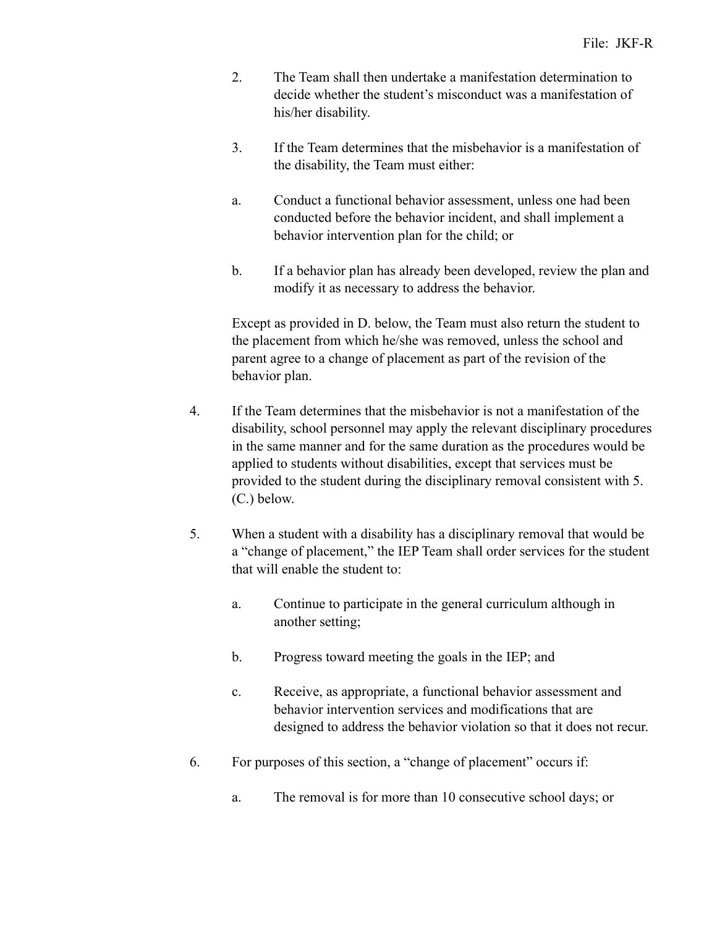- 2. The Team shall then undertake a manifestation determination to decide whether the student's misconduct was a manifestation of his/her disability.
- 3. If the Team determines that the misbehavior is a manifestation of the disability, the Team must either:
- a. Conduct a functional behavior assessment, unless one had been conducted before the behavior incident, and shall implement a behavior intervention plan for the child; or
- b. If a behavior plan has already been developed, review the plan and modify it as necessary to address the behavior.

 Except as provided in D. below, the Team must also return the student to the placement from which he/she was removed, unless the school and parent agree to a change of placement as part of the revision of the behavior plan.

- 4. If the Team determines that the misbehavior is not a manifestation of the disability, school personnel may apply the relevant disciplinary procedures in the same manner and for the same duration as the procedures would be applied to students without disabilities, except that services must be provided to the student during the disciplinary removal consistent with 5. (C.) below.
- 5. When a student with a disability has a disciplinary removal that would be a "change of placement," the IEP Team shall order services for the student that will enable the student to:
	- a. Continue to participate in the general curriculum although in another setting;
	- b. Progress toward meeting the goals in the IEP; and
	- c. Receive, as appropriate, a functional behavior assessment and behavior intervention services and modifications that are designed to address the behavior violation so that it does not recur.
- 6. For purposes of this section, a "change of placement" occurs if:
	- a. The removal is for more than 10 consecutive school days; or